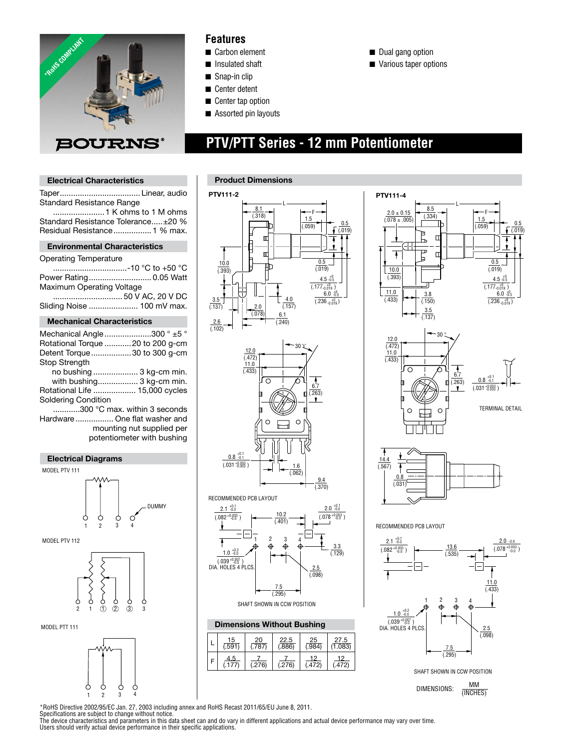

### **Features**

- Carbon element
- **■** Insulated shaft
- $\blacksquare$  Snap-in clip
- Center detent
- Center tap option
- $\blacksquare$  Assorted pin layouts

 **PTV/PTT Series - 12 mm Potentiometer**

- Dual gang option
- $\blacksquare$  Various taper options

**Electrical Characteristics**

### **Product Dimensions**

Taper.................................... Linear, audio **LEAD FREE**  Standard Resistance Range .......................1 K ohms to 1 M ohms Standard Resistance Tolerance.....±20 % Residual Resistance................... 1 % max. **Environmental Characteristics** Operating Temperature .................................-10 °C to +50 °C Power Rating............................ 0.05 Watt Maximum Operating Voltage ............................... 50 V AC, 20 V DC Sliding Noise ...................... 100 mV max. **Mechanical Characteristics** Mechanical Angle .....................300 ° ±5 ° Rotational Torque ............20 to 200 g-cm Detent Torque..................30 to 300 g-cm Stop Strength no bushing .................... 3 kg-cm min. with bushing.................. 3 kg-cm min. Rotational Life ................... 15,000 cycles Soldering Condition ............300 °C max. within 3 seconds Hardware................. One flat washer and mounting nut supplied per potentiometer with bushing

#### **Electrical Diagrams**



MODEL PTV 112









### **Dimensions Without Bushing**

| 15<br>$\overline{.591}$ | $\frac{20}{787}$ | $\frac{22.5}{(886)}$ | $\frac{25}{0.984}$ | $\frac{27.5}{1.083}$ |
|-------------------------|------------------|----------------------|--------------------|----------------------|
| 4.5<br>177              | (.276)           | (.276)               | 12<br>(.472)       | 19<br>(.472)         |





RECOMMENDED PCB LAYOUT



DIMENSIONS:  $\frac{MM}{MMC}$ (INCHES)

\*RoHS Directive 2002/95/EC Jan. 27, 2003 including annex and RoHS Recast 2011/65/EU June 8, 2011.

Specifications are subject to change without notice.<br>The device characteristics and parameters in this data sheet can and do vary in different applications and actual device performance may vary over time. Users should verify actual device performance in their specific applications.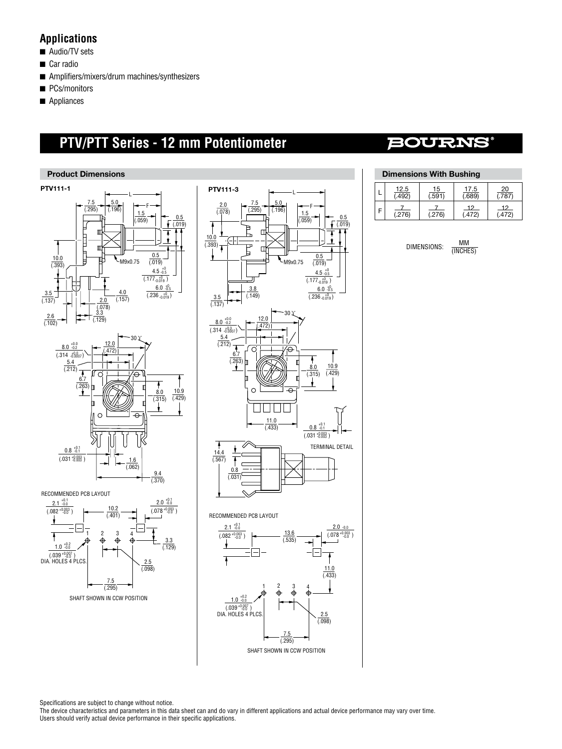### **Applications**

- $\blacksquare$  Audio/TV sets
- Car radio
- $\blacksquare$  Amplifiers/mixers/drum machines/synthesizers
- **n** PCs/monitors
- $\blacksquare$  Appliances

# **PTV/PTT Series - 12 mm Potentiometer**

# **BOURNS®**





### **Dimensions With Bushing**

| $\frac{12.5}{492}$ | 15<br>.591 | $\frac{17.5}{0.689}$ | 20<br>787.  |
|--------------------|------------|----------------------|-------------|
| .276)              | (276)      | 19<br>.472)          | 12<br>.472) |

| DIMENSIONS: | мм       |  |
|-------------|----------|--|
|             | (INCHES) |  |

Specifications are subject to change without notice.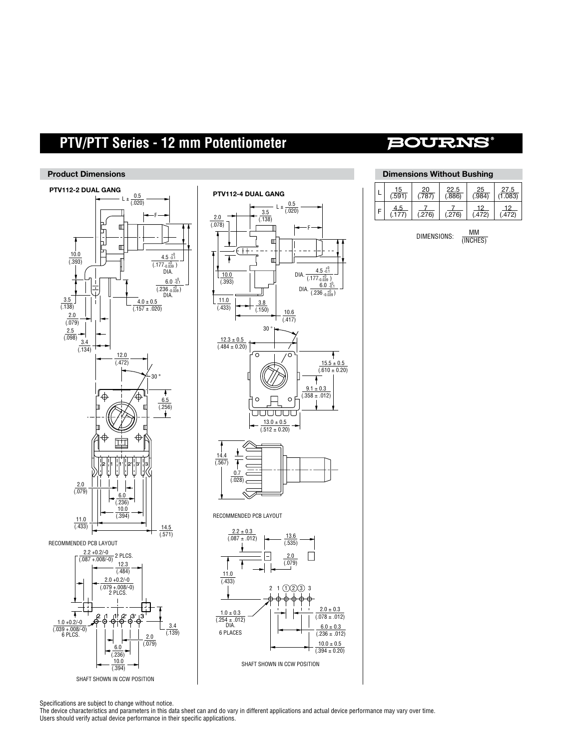# **PTV/PTT Series - 12 mm Potentiometer**

#### **Product Dimensions**







# **BOURNS®**

| <b>Dimensions Without Bushing</b> |               |                    |                      |                      |                           |
|-----------------------------------|---------------|--------------------|----------------------|----------------------|---------------------------|
|                                   | 15<br>(0.591) | <u>20</u><br>(787) | $\frac{22.5}{(886)}$ | <u>25</u><br>(0.984) | 27.5<br>$\frac{1}{1.083}$ |
|                                   | 4.5           | (.276)             | (.276)               | 12<br>(.472)         | 12<br>.472)               |
|                                   |               |                    |                      |                      |                           |

DIMENSIONS:  $\frac{MM}{MNCUT}$ (INCHES)

Specifications are subject to change without notice.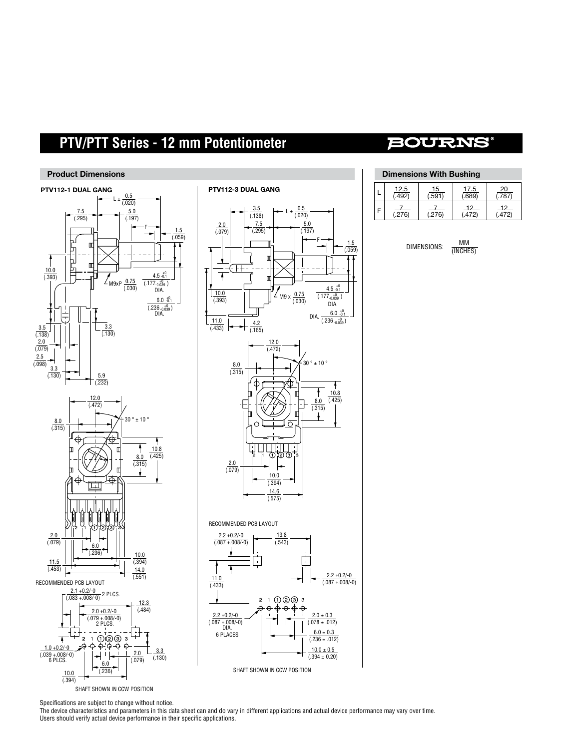# **PTV/PTT Series - 12 mm Potentiometer**

#### **Product Dimensions**





### **BOURNS®**

| <b>Dimensions With Bushing</b> |              |               |                       |             |
|--------------------------------|--------------|---------------|-----------------------|-------------|
|                                | 12.5<br>492. | 15<br>(0.591) | $\frac{17.5}{(.689)}$ | 20<br>(787) |
|                                | (.276)       | (.276)        | $\frac{12}{(472)}$    | 12<br>(472) |

| DIMENSIONS: | мм       |  |
|-------------|----------|--|
|             | (INCHES) |  |

Specifications are subject to change without notice.